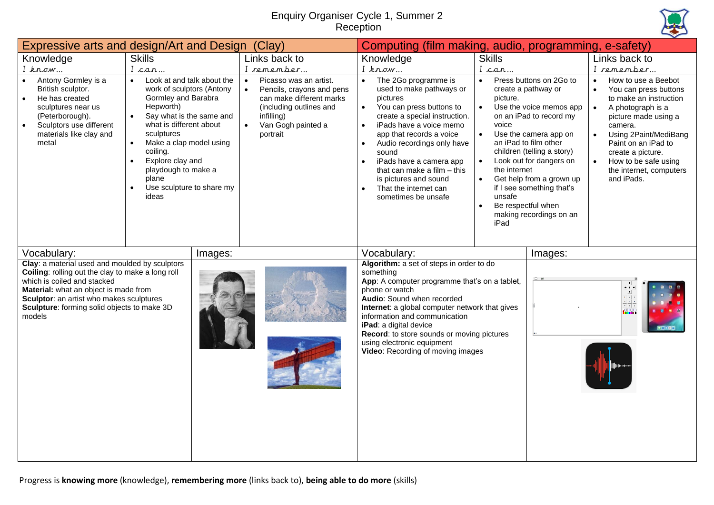## Enquiry Organiser Cycle 1, Summer 2 Reception



|                                                                                                                                                                                                                                                                                  | Expressive arts and design/Art and Design (Clay)                                                                                                                                                                                                                                                                                                               |                                                                                                                                                                                       | Computing (film making, audio, programming, e-safety)                                                                                                                                                                                                                                                                                                                                              |                                                                                                                                                                                                                                                                                                                                                                                                        |                                                                                                                                                                                                                                                                                                                           |  |
|----------------------------------------------------------------------------------------------------------------------------------------------------------------------------------------------------------------------------------------------------------------------------------|----------------------------------------------------------------------------------------------------------------------------------------------------------------------------------------------------------------------------------------------------------------------------------------------------------------------------------------------------------------|---------------------------------------------------------------------------------------------------------------------------------------------------------------------------------------|----------------------------------------------------------------------------------------------------------------------------------------------------------------------------------------------------------------------------------------------------------------------------------------------------------------------------------------------------------------------------------------------------|--------------------------------------------------------------------------------------------------------------------------------------------------------------------------------------------------------------------------------------------------------------------------------------------------------------------------------------------------------------------------------------------------------|---------------------------------------------------------------------------------------------------------------------------------------------------------------------------------------------------------------------------------------------------------------------------------------------------------------------------|--|
| Knowledge                                                                                                                                                                                                                                                                        | <b>Skills</b>                                                                                                                                                                                                                                                                                                                                                  | Links back to                                                                                                                                                                         | Knowledge                                                                                                                                                                                                                                                                                                                                                                                          | <b>Skills</b>                                                                                                                                                                                                                                                                                                                                                                                          | Links back to                                                                                                                                                                                                                                                                                                             |  |
| $I$ know<br>Antony Gormley is a<br>British sculptor.<br>He has created<br>sculptures near us<br>(Peterborough).<br>Sculptors use different<br>materials like clay and<br>metal                                                                                                   | I can<br>Look at and talk about the<br>$\bullet$<br>work of sculptors (Antony<br>Gormley and Barabra<br>Hepworth)<br>Say what is the same and<br>$\bullet$<br>what is different about<br>sculptures<br>Make a clap model using<br>$\bullet$<br>coiling.<br>Explore clay and<br>$\bullet$<br>playdough to make a<br>plane<br>Use sculpture to share my<br>ideas | I remember<br>Picasso was an artist.<br>Pencils, crayons and pens<br>can make different marks<br>(including outlines and<br>infilling)<br>Van Gogh painted a<br>$\bullet$<br>portrait | $I$ know<br>The 2Go programme is<br>$\bullet$<br>used to make pathways or<br>pictures<br>You can press buttons to<br>$\bullet$<br>create a special instruction.<br>iPads have a voice memo<br>app that records a voice<br>Audio recordings only have<br>sound<br>iPads have a camera app<br>that can make a film $-$ this<br>is pictures and sound<br>That the internet can<br>sometimes be unsafe | I can<br>Press buttons on 2Go to<br>$\bullet$<br>create a pathway or<br>picture.<br>Use the voice memos app<br>on an iPad to record my<br>voice<br>Use the camera app on<br>an iPad to film other<br>children (telling a story)<br>Look out for dangers on<br>the internet<br>Get help from a grown up<br>if I see something that's<br>unsafe<br>Be respectful when<br>making recordings on an<br>iPad | I remember<br>How to use a Beebot<br>$\bullet$<br>You can press buttons<br>to make an instruction<br>A photograph is a<br>$\bullet$<br>picture made using a<br>camera.<br>Using 2Paint/MediBang<br>$\bullet$<br>Paint on an iPad to<br>create a picture.<br>How to be safe using<br>the internet, computers<br>and iPads. |  |
| Vocabulary:                                                                                                                                                                                                                                                                      | Images:                                                                                                                                                                                                                                                                                                                                                        |                                                                                                                                                                                       | Vocabulary:                                                                                                                                                                                                                                                                                                                                                                                        | Images:                                                                                                                                                                                                                                                                                                                                                                                                |                                                                                                                                                                                                                                                                                                                           |  |
| Clay: a material used and moulded by sculptors<br>Coiling: rolling out the clay to make a long roll<br>which is coiled and stacked<br>Material: what an object is made from<br>Sculptor: an artist who makes sculptures<br>Sculpture: forming solid objects to make 3D<br>models |                                                                                                                                                                                                                                                                                                                                                                |                                                                                                                                                                                       | Algorithm: a set of steps in order to do<br>something<br>App: A computer programme that's on a tablet,<br>phone or watch<br>Audio: Sound when recorded<br>Internet: a global computer network that gives<br>information and communication<br>iPad: a digital device<br>Record: to store sounds or moving pictures<br>using electronic equipment<br>Video: Recording of moving images               |                                                                                                                                                                                                                                                                                                                                                                                                        | A MA                                                                                                                                                                                                                                                                                                                      |  |